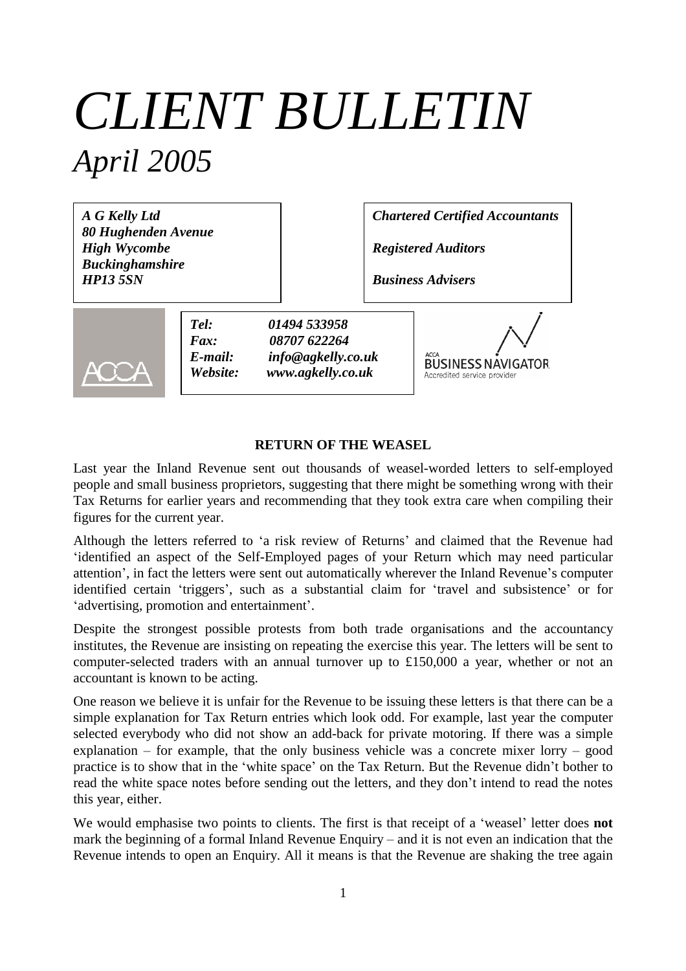# *CLIENT BULLETIN April 2005*

*A G Kelly Ltd 80 Hughenden Avenue High Wycombe Buckinghamshire HP13 5SN*

*Chartered Certified Accountants*

*Registered Auditors*

*Business Advisers*



*Tel: 01494 533958 Fax: 08707 622264 E-mail: info@agkelly.co.uk Website: www.agkelly.co.uk*

**BUSINESS NAVIGATOR** Accredited service provider

# **RETURN OF THE WEASEL**

Last year the Inland Revenue sent out thousands of weasel-worded letters to self-employed people and small business proprietors, suggesting that there might be something wrong with their Tax Returns for earlier years and recommending that they took extra care when compiling their figures for the current year.

Although the letters referred to 'a risk review of Returns' and claimed that the Revenue had 'identified an aspect of the Self-Employed pages of your Return which may need particular attention', in fact the letters were sent out automatically wherever the Inland Revenue's computer identified certain 'triggers', such as a substantial claim for 'travel and subsistence' or for 'advertising, promotion and entertainment'.

Despite the strongest possible protests from both trade organisations and the accountancy institutes, the Revenue are insisting on repeating the exercise this year. The letters will be sent to computer-selected traders with an annual turnover up to £150,000 a year, whether or not an accountant is known to be acting.

One reason we believe it is unfair for the Revenue to be issuing these letters is that there can be a simple explanation for Tax Return entries which look odd. For example, last year the computer selected everybody who did not show an add-back for private motoring. If there was a simple explanation – for example, that the only business vehicle was a concrete mixer lorry – good practice is to show that in the 'white space' on the Tax Return. But the Revenue didn't bother to read the white space notes before sending out the letters, and they don't intend to read the notes this year, either.

We would emphasise two points to clients. The first is that receipt of a 'weasel' letter does **not** mark the beginning of a formal Inland Revenue Enquiry – and it is not even an indication that the Revenue intends to open an Enquiry. All it means is that the Revenue are shaking the tree again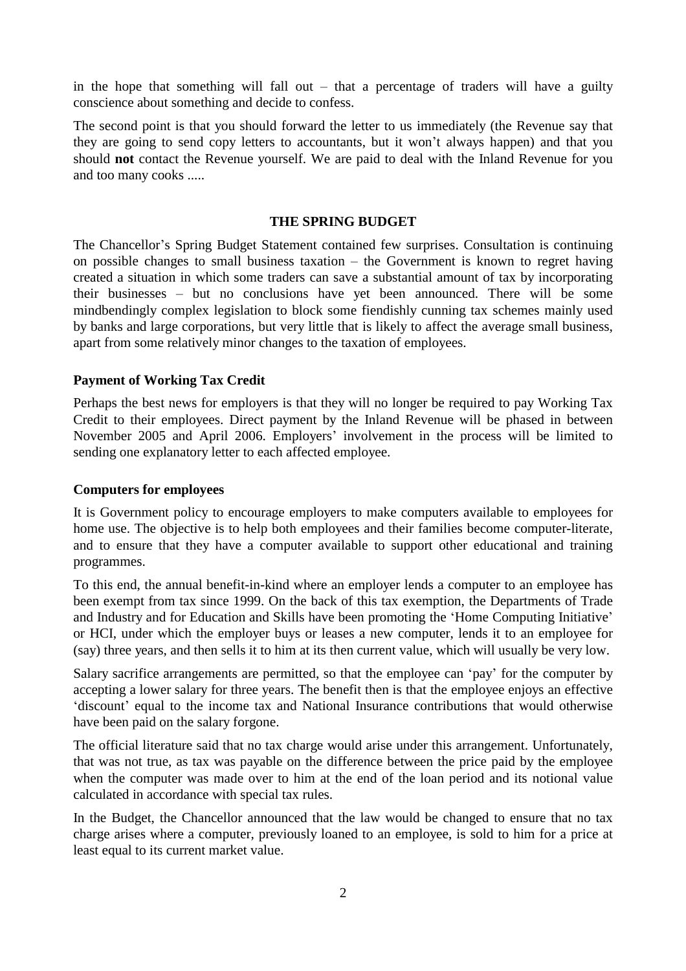in the hope that something will fall out – that a percentage of traders will have a guilty conscience about something and decide to confess.

The second point is that you should forward the letter to us immediately (the Revenue say that they are going to send copy letters to accountants, but it won't always happen) and that you should **not** contact the Revenue yourself. We are paid to deal with the Inland Revenue for you and too many cooks .....

#### **THE SPRING BUDGET**

The Chancellor's Spring Budget Statement contained few surprises. Consultation is continuing on possible changes to small business taxation – the Government is known to regret having created a situation in which some traders can save a substantial amount of tax by incorporating their businesses – but no conclusions have yet been announced. There will be some mindbendingly complex legislation to block some fiendishly cunning tax schemes mainly used by banks and large corporations, but very little that is likely to affect the average small business, apart from some relatively minor changes to the taxation of employees.

# **Payment of Working Tax Credit**

Perhaps the best news for employers is that they will no longer be required to pay Working Tax Credit to their employees. Direct payment by the Inland Revenue will be phased in between November 2005 and April 2006. Employers' involvement in the process will be limited to sending one explanatory letter to each affected employee.

# **Computers for employees**

It is Government policy to encourage employers to make computers available to employees for home use. The objective is to help both employees and their families become computer-literate, and to ensure that they have a computer available to support other educational and training programmes.

To this end, the annual benefit-in-kind where an employer lends a computer to an employee has been exempt from tax since 1999. On the back of this tax exemption, the Departments of Trade and Industry and for Education and Skills have been promoting the 'Home Computing Initiative' or HCI, under which the employer buys or leases a new computer, lends it to an employee for (say) three years, and then sells it to him at its then current value, which will usually be very low.

Salary sacrifice arrangements are permitted, so that the employee can 'pay' for the computer by accepting a lower salary for three years. The benefit then is that the employee enjoys an effective 'discount' equal to the income tax and National Insurance contributions that would otherwise have been paid on the salary forgone.

The official literature said that no tax charge would arise under this arrangement. Unfortunately, that was not true, as tax was payable on the difference between the price paid by the employee when the computer was made over to him at the end of the loan period and its notional value calculated in accordance with special tax rules.

In the Budget, the Chancellor announced that the law would be changed to ensure that no tax charge arises where a computer, previously loaned to an employee, is sold to him for a price at least equal to its current market value.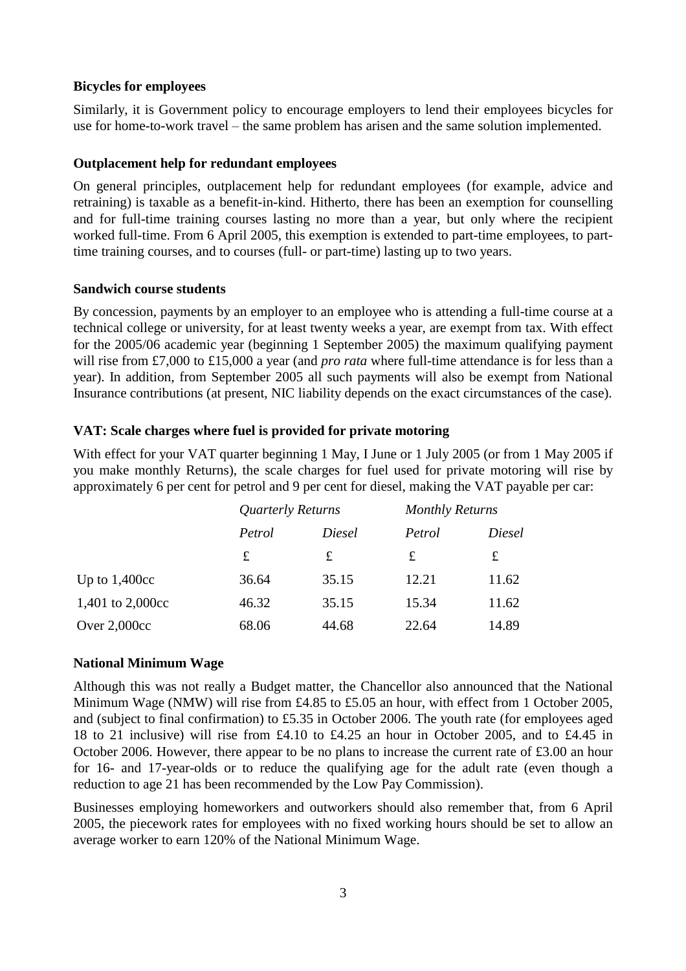# **Bicycles for employees**

Similarly, it is Government policy to encourage employers to lend their employees bicycles for use for home-to-work travel – the same problem has arisen and the same solution implemented.

# **Outplacement help for redundant employees**

On general principles, outplacement help for redundant employees (for example, advice and retraining) is taxable as a benefit-in-kind. Hitherto, there has been an exemption for counselling and for full-time training courses lasting no more than a year, but only where the recipient worked full-time. From 6 April 2005, this exemption is extended to part-time employees, to parttime training courses, and to courses (full- or part-time) lasting up to two years.

# **Sandwich course students**

By concession, payments by an employer to an employee who is attending a full-time course at a technical college or university, for at least twenty weeks a year, are exempt from tax. With effect for the 2005/06 academic year (beginning 1 September 2005) the maximum qualifying payment will rise from £7,000 to £15,000 a year (and *pro rata* where full-time attendance is for less than a year). In addition, from September 2005 all such payments will also be exempt from National Insurance contributions (at present, NIC liability depends on the exact circumstances of the case).

# **VAT: Scale charges where fuel is provided for private motoring**

With effect for your VAT quarter beginning 1 May, I June or 1 July 2005 (or from 1 May 2005 if you make monthly Returns), the scale charges for fuel used for private motoring will rise by approximately 6 per cent for petrol and 9 per cent for diesel, making the VAT payable per car:

|                  | Quarterly Returns |        | <b>Monthly Returns</b> |        |
|------------------|-------------------|--------|------------------------|--------|
|                  | Petrol            | Diesel | Petrol                 | Diesel |
|                  | £                 | £      | £                      | £      |
| Up to $1,400cc$  | 36.64             | 35.15  | 12.21                  | 11.62  |
| 1,401 to 2,000cc | 46.32             | 35.15  | 15.34                  | 11.62  |
| Over $2,000cc$   | 68.06             | 44.68  | 22.64                  | 14.89  |

# **National Minimum Wage**

Although this was not really a Budget matter, the Chancellor also announced that the National Minimum Wage (NMW) will rise from £4.85 to £5.05 an hour, with effect from 1 October 2005, and (subject to final confirmation) to £5.35 in October 2006. The youth rate (for employees aged 18 to 21 inclusive) will rise from £4.10 to £4.25 an hour in October 2005, and to £4.45 in October 2006. However, there appear to be no plans to increase the current rate of £3.00 an hour for 16- and 17-year-olds or to reduce the qualifying age for the adult rate (even though a reduction to age 21 has been recommended by the Low Pay Commission).

Businesses employing homeworkers and outworkers should also remember that, from 6 April 2005, the piecework rates for employees with no fixed working hours should be set to allow an average worker to earn 120% of the National Minimum Wage.